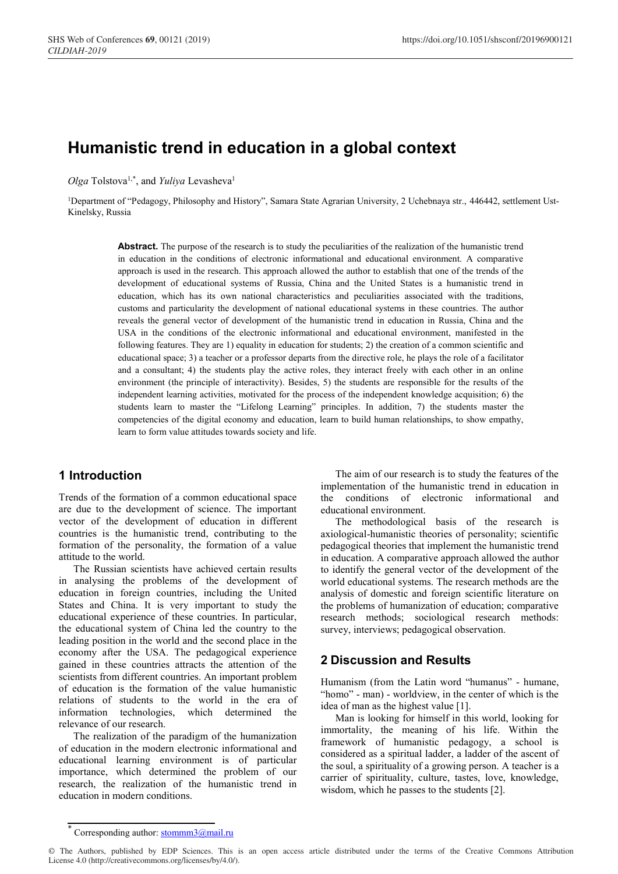# **Humanistic trend in education in a global context**

Olga Tolstova<sup>1,\*</sup>, and *Yuliya* Levasheva<sup>1</sup>

1Department of "Pedagogy, Philosophy and History", Samara State Agrarian University, 2 Uchebnaya str., 446442, settlement Ust-Kinelsky, Russia

> **Abstract.** The purpose of the research is to study the peculiarities of the realization of the humanistic trend in education in the conditions of electronic informational and educational environment. A comparative approach is used in the research. This approach allowed the author to establish that one of the trends of the development of educational systems of Russia, China and the United States is a humanistic trend in education, which has its own national characteristics and peculiarities associated with the traditions, customs and particularity the development of national educational systems in these countries. The author reveals the general vector of development of the humanistic trend in education in Russia, China and the USA in the conditions of the electronic informational and educational environment, manifested in the following features. They are 1) equality in education for students; 2) the creation of a common scientific and educational space; 3) a teacher or a professor departs from the directive role, he plays the role of a facilitator and a consultant; 4) the students play the active roles, they interact freely with each other in an online environment (the principle of interactivity). Besides, 5) the students are responsible for the results of the independent learning activities, motivated for the process of the independent knowledge acquisition; 6) the students learn to master the "Lifelong Learning" principles. In addition, 7) the students master the competencies of the digital economy and education, learn to build human relationships, to show empathy, learn to form value attitudes towards society and life.

#### **1 Introduction**

Trends of the formation of a common educational space are due to the development of science. The important vector of the development of education in different countries is the humanistic trend, contributing to the formation of the personality, the formation of a value attitude to the world.

The Russian scientists have achieved certain results in analysing the problems of the development of education in foreign countries, including the United States and China. It is very important to study the educational experience of these countries. In particular, the educational system of China led the country to the leading position in the world and the second place in the economy after the USA. The pedagogical experience gained in these countries attracts the attention of the scientists from different countries. An important problem of education is the formation of the value humanistic relations of students to the world in the era of information technologies, which determined the relevance of our research.

The realization of the paradigm of the humanization of education in the modern electronic informational and educational learning environment is of particular importance, which determined the problem of our research, the realization of the humanistic trend in education in modern conditions.

The aim of our research is to study the features of the implementation of the humanistic trend in education in the conditions of electronic informational and educational environment.

The methodological basis of the research is axiological-humanistic theories of personality; scientific pedagogical theories that implement the humanistic trend in education. A comparative approach allowed the author to identify the general vector of the development of the world educational systems. The research methods are the analysis of domestic and foreign scientific literature on the problems of humanization of education; comparative research methods; sociological research methods: survey, interviews; pedagogical observation.

#### **2 Discussion and Results**

Humanism (from the Latin word "humanus" - humane, "homo" - man) - worldview, in the center of which is the idea of man as the highest value [1].

Man is looking for himself in this world, looking for immortality, the meaning of his life. Within the framework of humanistic pedagogy, a school is considered as a spiritual ladder, a ladder of the ascent of the soul, a spirituality of a growing person. A teacher is a carrier of spirituality, culture, tastes, love, knowledge, wisdom, which he passes to the students [2].

Corresponding author:  $\frac{\text{stomm3}(a)}{a^2}$ 

<sup>©</sup> The Authors, published by EDP Sciences. This is an open access article distributed under the terms of the Creative Commons Attribution License 4.0 (http://creativecommons.org/licenses/by/4.0/).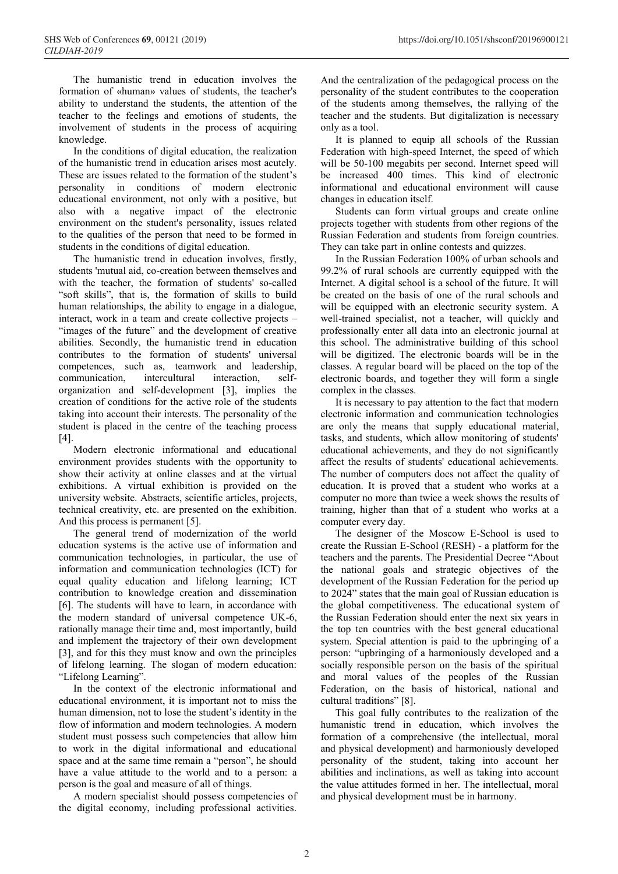The humanistic trend in education involves the formation of «human» values of students, the teacher's ability to understand the students, the attention of the teacher to the feelings and emotions of students, the involvement of students in the process of acquiring knowledge.

In the conditions of digital education, the realization of the humanistic trend in education arises most acutely. These are issues related to the formation of the student's personality in conditions of modern electronic educational environment, not only with a positive, but also with a negative impact of the electronic environment on the student's personality, issues related to the qualities of the person that need to be formed in students in the conditions of digital education.

The humanistic trend in education involves, firstly, students 'mutual aid, co-creation between themselves and with the teacher, the formation of students' so-called "soft skills", that is, the formation of skills to build human relationships, the ability to engage in a dialogue, interact, work in a team and create collective projects – "images of the future" and the development of creative abilities. Secondly, the humanistic trend in education contributes to the formation of students' universal competences, such as, teamwork and leadership, communication, intercultural interaction, selforganization and self-development [3], implies the creation of conditions for the active role of the students taking into account their interests. The personality of the student is placed in the centre of the teaching process [4].

Modern electronic informational and educational environment provides students with the opportunity to show their activity at online classes and at the virtual exhibitions. A virtual exhibition is provided on the university website. Abstracts, scientific articles, projects, technical creativity, etc. are presented on the exhibition. And this process is permanent [5].

The general trend of modernization of the world education systems is the active use of information and communication technologies, in particular, the use of information and communication technologies (ICT) for equal quality education and lifelong learning; ICT contribution to knowledge creation and dissemination [6]. The students will have to learn, in accordance with the modern standard of universal competence UK-6, rationally manage their time and, most importantly, build and implement the trajectory of their own development [3], and for this they must know and own the principles of lifelong learning. The slogan of modern education: "Lifelong Learning".

In the context of the electronic informational and educational environment, it is important not to miss the human dimension, not to lose the student's identity in the flow of information and modern technologies. A modern student must possess such competencies that allow him to work in the digital informational and educational space and at the same time remain a "person", he should have a value attitude to the world and to a person: a person is the goal and measure of all of things.

A modern specialist should possess competencies of the digital economy, including professional activities.

And the centralization of the pedagogical process on the personality of the student contributes to the cooperation of the students among themselves, the rallying of the teacher and the students. But digitalization is necessary only as a tool.

It is planned to equip all schools of the Russian Federation with high-speed Internet, the speed of which will be 50-100 megabits per second. Internet speed will be increased 400 times. This kind of electronic informational and educational environment will cause changes in education itself.

Students can form virtual groups and create online projects together with students from other regions of the Russian Federation and students from foreign countries. They can take part in online contests and quizzes.

In the Russian Federation 100% of urban schools and 99.2% of rural schools are currently equipped with the Internet. A digital school is a school of the future. It will be created on the basis of one of the rural schools and will be equipped with an electronic security system. A well-trained specialist, not a teacher, will quickly and professionally enter all data into an electronic journal at this school. The administrative building of this school will be digitized. The electronic boards will be in the classes. A regular board will be placed on the top of the electronic boards, and together they will form a single complex in the classes.

It is necessary to pay attention to the fact that modern electronic information and communication technologies are only the means that supply educational material, tasks, and students, which allow monitoring of students' educational achievements, and they do not significantly affect the results of students' educational achievements. The number of computers does not affect the quality of education. It is proved that a student who works at a computer no more than twice a week shows the results of training, higher than that of a student who works at a computer every day.

The designer of the Moscow E-School is used to create the Russian E-School (RESН) - a platform for the teachers and the parents. The Presidential Decree "About the national goals and strategic objectives of the development of the Russian Federation for the period up to 2024" states that the main goal of Russian education is the global competitiveness. The educational system of the Russian Federation should enter the next six years in the top ten countries with the best general educational system. Special attention is paid to the upbringing of a person: "upbringing of a harmoniously developed and a socially responsible person on the basis of the spiritual and moral values of the peoples of the Russian Federation, on the basis of historical, national and cultural traditions" [8].

This goal fully contributes to the realization of the humanistic trend in education, which involves the formation of a comprehensive (the intellectual, moral and physical development) and harmoniously developed personality of the student, taking into account her abilities and inclinations, as well as taking into account the value attitudes formed in her. The intellectual, moral and physical development must be in harmony.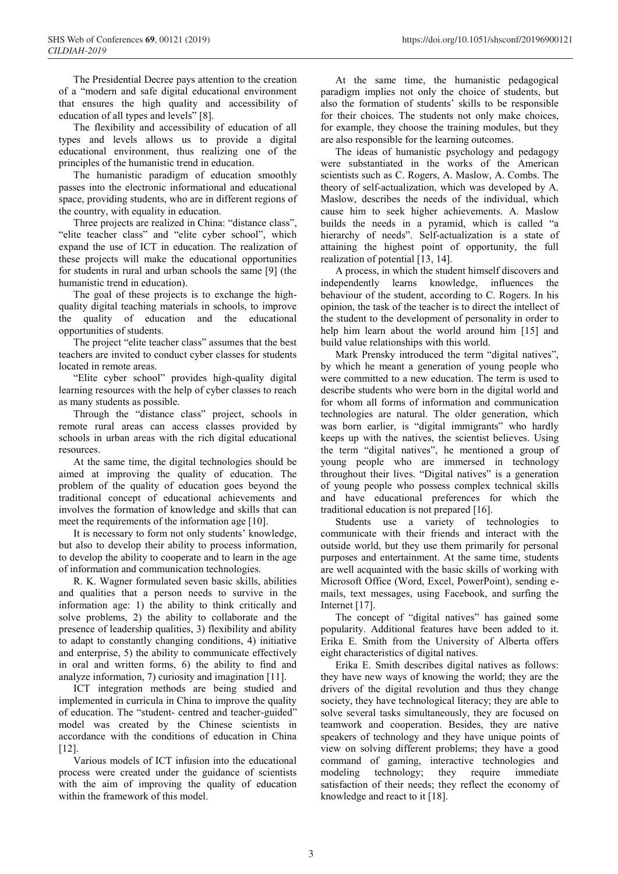The Presidential Decree pays attention to the creation of a "modern and safe digital educational environment that ensures the high quality and accessibility of education of all types and levels" [8].

The flexibility and accessibility of education of all types and levels allows us to provide a digital educational environment, thus realizing one of the principles of the humanistic trend in education.

The humanistic paradigm of education smoothly passes into the electronic informational and educational space, providing students, who are in different regions of the country, with equality in education.

Three projects are realized in China: "distance class", "elite teacher class" and "elite cyber school", which expand the use of ICT in education. The realization of these projects will make the educational opportunities for students in rural and urban schools the same [9] (the humanistic trend in education).

The goal of these projects is to exchange the highquality digital teaching materials in schools, to improve the quality of education and the educational opportunities of students.

The project "elite teacher class" assumes that the best teachers are invited to conduct cyber classes for students located in remote areas.

"Elite cyber school" provides high-quality digital learning resources with the help of cyber classes to reach as many students as possible.

Through the "distance class" project, schools in remote rural areas can access classes provided by schools in urban areas with the rich digital educational resources.

At the same time, the digital technologies should be aimed at improving the quality of education. The problem of the quality of education goes beyond the traditional concept of educational achievements and involves the formation of knowledge and skills that can meet the requirements of the information age [10].

It is necessary to form not only students' knowledge, but also to develop their ability to process information, to develop the ability to cooperate and to learn in the age of information and communication technologies.

R. K. Wagner formulated seven basic skills, abilities and qualities that a person needs to survive in the information age: 1) the ability to think critically and solve problems, 2) the ability to collaborate and the presence of leadership qualities, 3) flexibility and ability to adapt to constantly changing conditions, 4) initiative and enterprise, 5) the ability to communicate effectively in oral and written forms, 6) the ability to find and analyze information, 7) curiosity and imagination [11].

ICT integration methods are being studied and implemented in curricula in China to improve the quality of education. The "student- centred and teacher-guided" model was created by the Chinese scientists in accordance with the conditions of education in China [12].

Various models of ICT infusion into the educational process were created under the guidance of scientists with the aim of improving the quality of education within the framework of this model.

At the same time, the humanistic pedagogical paradigm implies not only the choice of students, but also the formation of students' skills to be responsible for their choices. The students not only make choices, for example, they choose the training modules, but they are also responsible for the learning outcomes.

The ideas of humanistic psychology and pedagogy were substantiated in the works of the American scientists such as C. Rogers, A. Maslow, A. Combs. The theory of self-actualization, which was developed by A. Maslow, describes the needs of the individual, which cause him to seek higher achievements. A. Maslow builds the needs in a pyramid, which is called "a hierarchy of needs". Self-actualization is a state of attaining the highest point of opportunity, the full realization of potential [13, 14].

A process, in which the student himself discovers and independently learns knowledge, influences the behaviour of the student, according to C. Rogers. In his opinion, the task of the teacher is to direct the intellect of the student to the development of personality in order to help him learn about the world around him [15] and build value relationships with this world.

Mark Prensky introduced the term "digital natives", by which he meant a generation of young people who were committed to a new education. The term is used to describe students who were born in the digital world and for whom all forms of information and communication technologies are natural. The older generation, which was born earlier, is "digital immigrants" who hardly keeps up with the natives, the scientist believes. Using the term "digital natives", he mentioned a group of young people who are immersed in technology throughout their lives. "Digital natives" is a generation of young people who possess complex technical skills and have educational preferences for which the traditional education is not prepared [16].

Students use a variety of technologies to communicate with their friends and interact with the outside world, but they use them primarily for personal purposes and entertainment. At the same time, students are well acquainted with the basic skills of working with Microsoft Office (Word, Excel, PowerPoint), sending emails, text messages, using Facebook, and surfing the Internet [17].

The concept of "digital natives" has gained some popularity. Additional features have been added to it. Erika E. Smith from the University of Alberta offers eight characteristics of digital natives.

Erika E. Smith describes digital natives as follows: they have new ways of knowing the world; they are the drivers of the digital revolution and thus they change society, they have technological literacy; they are able to solve several tasks simultaneously, they are focused on teamwork and cooperation. Besides, they are native speakers of technology and they have unique points of view on solving different problems; they have a good command of gaming, interactive technologies and modeling technology; they require immediate satisfaction of their needs; they reflect the economy of knowledge and react to it [18].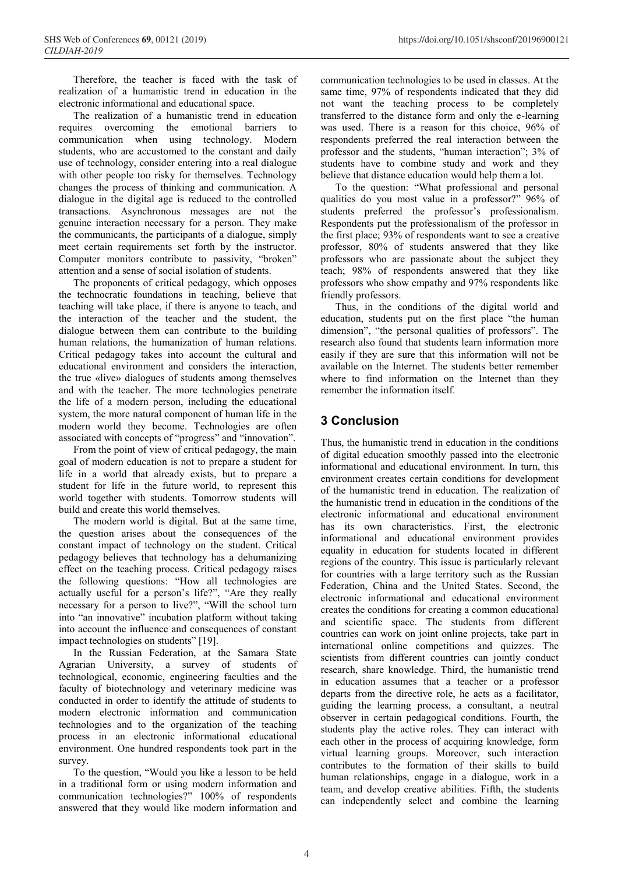Therefore, the teacher is faced with the task of realization of a humanistic trend in education in the electronic informational and educational space.

The realization of a humanistic trend in education requires overcoming the emotional barriers to communication when using technology. Modern students, who are accustomed to the constant and daily use of technology, consider entering into a real dialogue with other people too risky for themselves. Technology changes the process of thinking and communication. A dialogue in the digital age is reduced to the controlled transactions. Asynchronous messages are not the genuine interaction necessary for a person. They make the communicants, the participants of a dialogue, simply meet certain requirements set forth by the instructor. Computer monitors contribute to passivity, "broken" attention and a sense of social isolation of students.

The proponents of critical pedagogy, which opposes the technocratic foundations in teaching, believe that teaching will take place, if there is anyone to teach, and the interaction of the teacher and the student, the dialogue between them can contribute to the building human relations, the humanization of human relations. Critical pedagogy takes into account the cultural and educational environment and considers the interaction, the true «live» dialogues of students among themselves and with the teacher. The more technologies penetrate the life of a modern person, including the educational system, the more natural component of human life in the modern world they become. Technologies are often associated with concepts of "progress" and "innovation".

From the point of view of critical pedagogy, the main goal of modern education is not to prepare a student for life in a world that already exists, but to prepare a student for life in the future world, to represent this world together with students. Tomorrow students will build and create this world themselves.

The modern world is digital. But at the same time, the question arises about the consequences of the constant impact of technology on the student. Critical pedagogy believes that technology has a dehumanizing effect on the teaching process. Critical pedagogy raises the following questions: "How all technologies are actually useful for a person's life?", "Are they really necessary for a person to live?", "Will the school turn into "an innovative" incubation platform without taking into account the influence and consequences of constant impact technologies on students" [19].

In the Russian Federation, at the Samara State Agrarian University, a survey of students of technological, economic, engineering faculties and the faculty of biotechnology and veterinary medicine was conducted in order to identify the attitude of students to modern electronic information and communication technologies and to the organization of the teaching process in an electronic informational educational environment. One hundred respondents took part in the survey.

To the question, "Would you like a lesson to be held in a traditional form or using modern information and communication technologies?" 100% of respondents answered that they would like modern information and communication technologies to be used in classes. At the same time, 97% of respondents indicated that they did not want the teaching process to be completely transferred to the distance form and only the e-learning was used. There is a reason for this choice, 96% of respondents preferred the real interaction between the professor and the students, "human interaction"; 3% of students have to combine study and work and they believe that distance education would help them a lot.

To the question: "What professional and personal qualities do you most value in a professor?" 96% of students preferred the professor's professionalism. Respondents put the professionalism of the professor in the first place; 93% of respondents want to see a creative professor, 80% of students answered that they like professors who are passionate about the subject they teach; 98% of respondents answered that they like professors who show empathy and 97% respondents like friendly professors.

Thus, in the conditions of the digital world and education, students put on the first place "the human dimension", "the personal qualities of professors". The research also found that students learn information more easily if they are sure that this information will not be available on the Internet. The students better remember where to find information on the Internet than they remember the information itself.

### **3 Conclusion**

Thus, the humanistic trend in education in the conditions of digital education smoothly passed into the electronic informational and educational environment. In turn, this environment creates certain conditions for development of the humanistic trend in education. The realization of the humanistic trend in education in the conditions of the electronic informational and educational environment has its own characteristics. First, the electronic informational and educational environment provides equality in education for students located in different regions of the country. This issue is particularly relevant for countries with a large territory such as the Russian Federation, China and the United States. Second, the electronic informational and educational environment creates the conditions for creating a common educational and scientific space. The students from different countries can work on joint online projects, take part in international online competitions and quizzes. The scientists from different countries can jointly conduct research, share knowledge. Third, the humanistic trend in education assumes that a teacher or a professor departs from the directive role, he acts as a facilitator, guiding the learning process, a consultant, a neutral observer in certain pedagogical conditions. Fourth, the students play the active roles. They can interact with each other in the process of acquiring knowledge, form virtual learning groups. Moreover, such interaction contributes to the formation of their skills to build human relationships, engage in a dialogue, work in a team, and develop creative abilities. Fifth, the students can independently select and combine the learning